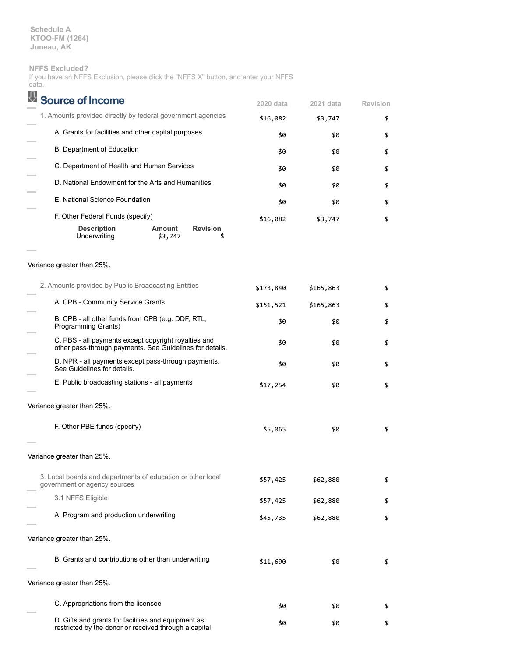**Schedule A KTOO-FM (1264) Juneau, AK**

## **NFFS Excluded?**

| If you have an NFFS Exclusion, please click the "NFFS X" button, and enter your NFFS |  |  |  |  |  |  |
|--------------------------------------------------------------------------------------|--|--|--|--|--|--|
| data.                                                                                |  |  |  |  |  |  |

| <b>Source of Income</b>                                                                                          | 2020 data  | 2021 data | <b>Revision</b> |
|------------------------------------------------------------------------------------------------------------------|------------|-----------|-----------------|
| 1. Amounts provided directly by federal government agencies                                                      | \$16,082   | \$3,747   | \$              |
| A. Grants for facilities and other capital purposes                                                              | \$0        | \$0       | \$              |
| B. Department of Education                                                                                       | \$0        | \$0       | \$              |
| C. Department of Health and Human Services                                                                       | \$0        | \$0       | \$              |
| D. National Endowment for the Arts and Humanities                                                                | \$0        | \$0       | \$              |
| E. National Science Foundation                                                                                   | \$0        | \$0       | \$              |
| F. Other Federal Funds (specify)                                                                                 | \$16,082   | \$3,747   | \$              |
| <b>Description</b><br>Amount<br><b>Revision</b><br>Underwriting<br>\$3,747<br>\$                                 |            |           |                 |
| Variance greater than 25%.                                                                                       |            |           |                 |
| 2. Amounts provided by Public Broadcasting Entities                                                              | \$173,840  | \$165,863 | \$              |
| A. CPB - Community Service Grants                                                                                | \$151,521  | \$165,863 | \$              |
| B. CPB - all other funds from CPB (e.g. DDF, RTL,<br>Programming Grants)                                         | \$0<br>\$0 |           | \$              |
| C. PBS - all payments except copyright royalties and<br>other pass-through payments. See Guidelines for details. | \$0        | \$0       | \$              |
| D. NPR - all payments except pass-through payments.<br>See Guidelines for details.                               | \$0        | \$0       | \$              |
| E. Public broadcasting stations - all payments                                                                   | \$17,254   | \$0       | \$              |
| Variance greater than 25%.                                                                                       |            |           |                 |
| F. Other PBE funds (specify)                                                                                     | \$5,065    | \$0       | \$              |
| Variance greater than 25%.                                                                                       |            |           |                 |
| 3. Local boards and departments of education or other local<br>government or agency sources                      | \$57,425   | \$62,880  | \$              |
| 3.1 NFFS Eligible                                                                                                | \$57,425   | \$62,880  | \$              |
| A. Program and production underwriting                                                                           | \$45,735   | \$62,880  | \$              |
| Variance greater than 25%.                                                                                       |            |           |                 |
| B. Grants and contributions other than underwriting                                                              | \$11,690   | \$0       | \$              |
| Variance greater than 25%.                                                                                       |            |           |                 |
| C. Appropriations from the licensee                                                                              | \$0        | \$0       | \$              |
| D. Gifts and grants for facilities and equipment as<br>restricted by the donor or received through a capital     | \$0        | \$0       | \$              |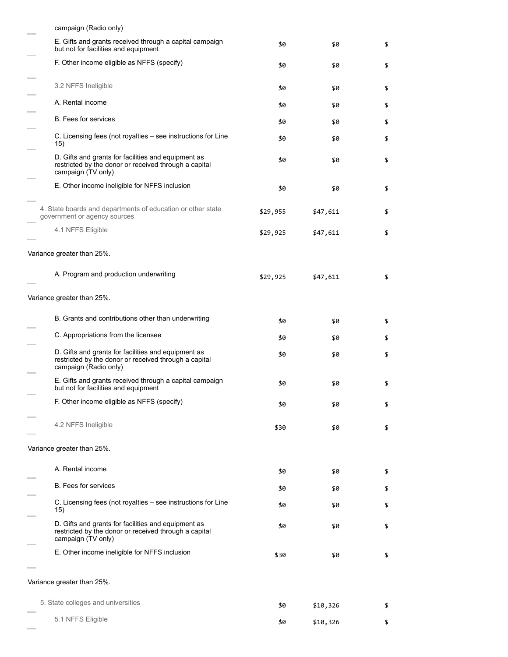| campaign (Radio only)                                                                                                                 |          |          |    |
|---------------------------------------------------------------------------------------------------------------------------------------|----------|----------|----|
| E. Gifts and grants received through a capital campaign<br>but not for facilities and equipment                                       | \$0      | \$0      | \$ |
| F. Other income eligible as NFFS (specify)                                                                                            | \$0      | \$0      | \$ |
| 3.2 NFFS Ineligible                                                                                                                   | \$0      | \$0      | \$ |
| A. Rental income                                                                                                                      | \$0      | \$0      | \$ |
| <b>B.</b> Fees for services                                                                                                           | \$0      | \$0      | \$ |
| C. Licensing fees (not royalties - see instructions for Line<br>15)                                                                   | \$0      | \$0      | \$ |
| D. Gifts and grants for facilities and equipment as<br>restricted by the donor or received through a capital<br>campaign (TV only)    | \$0      | \$0      | \$ |
| E. Other income ineligible for NFFS inclusion                                                                                         | \$0      | \$0      | \$ |
| 4. State boards and departments of education or other state<br>government or agency sources                                           | \$29,955 | \$47,611 | \$ |
| 4.1 NFFS Eligible                                                                                                                     | \$29,925 | \$47,611 | \$ |
| Variance greater than 25%.                                                                                                            |          |          |    |
| A. Program and production underwriting                                                                                                | \$29,925 | \$47,611 | \$ |
| Variance greater than 25%.                                                                                                            |          |          |    |
| B. Grants and contributions other than underwriting                                                                                   | \$0      | \$0      | \$ |
| C. Appropriations from the licensee                                                                                                   | \$0      | \$0      | \$ |
| D. Gifts and grants for facilities and equipment as<br>restricted by the donor or received through a capital<br>campaign (Radio only) | \$0      | \$0      | \$ |
| E. Gifts and grants received through a capital campaign<br>but not for facilities and equipment                                       | \$0      | \$0      | \$ |
| F. Other income eligible as NFFS (specify)                                                                                            | \$0      | \$0      | \$ |
| 4.2 NFFS Ineligible                                                                                                                   | \$30     | \$0      | \$ |
| Variance greater than 25%.                                                                                                            |          |          |    |
| A. Rental income                                                                                                                      | \$0      | \$0      | \$ |
| <b>B.</b> Fees for services                                                                                                           | \$0      | \$0      | \$ |
| C. Licensing fees (not royalties – see instructions for Line<br>15)                                                                   | \$0      | \$0      | \$ |
| D. Gifts and grants for facilities and equipment as<br>restricted by the donor or received through a capital<br>campaign (TV only)    | \$0      | \$0      | \$ |
| E. Other income ineligible for NFFS inclusion                                                                                         | \$30     | \$0      | \$ |
| Variance greater than 25%.                                                                                                            |          |          |    |
| 5. State colleges and universities                                                                                                    | \$0      | \$10,326 | \$ |
| 5.1 NFFS Eligible                                                                                                                     | \$0      | \$10,326 | \$ |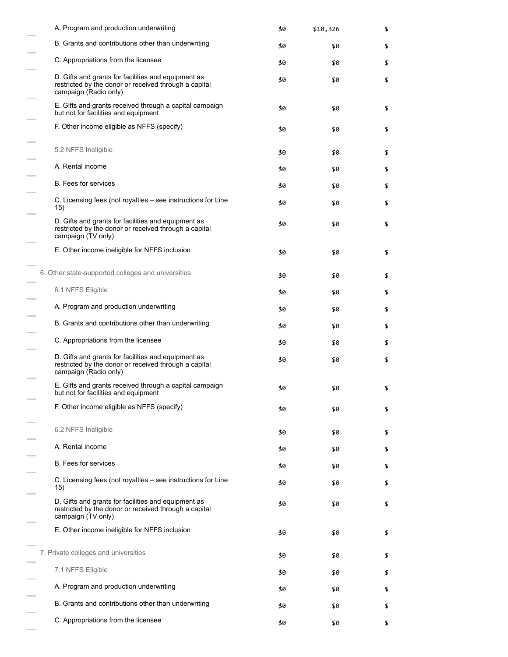|     | A. Program and production underwriting                                                                                                | \$0 | \$10,326 | \$ |
|-----|---------------------------------------------------------------------------------------------------------------------------------------|-----|----------|----|
|     | B. Grants and contributions other than underwriting                                                                                   | \$0 | \$0      | \$ |
|     | C. Appropriations from the licensee                                                                                                   | \$0 | \$0      | \$ |
|     | D. Gifts and grants for facilities and equipment as<br>restricted by the donor or received through a capital<br>campaign (Radio only) | \$0 | \$0      | \$ |
|     | E. Gifts and grants received through a capital campaign<br>but not for facilities and equipment                                       | \$0 | \$0      | \$ |
|     | F. Other income eligible as NFFS (specify)                                                                                            | \$0 | \$0      | \$ |
|     | 5.2 NFFS Ineligible                                                                                                                   | \$0 | \$0      | \$ |
|     | A. Rental income                                                                                                                      | \$0 | \$0      | \$ |
|     | <b>B.</b> Fees for services                                                                                                           | \$0 | \$0      | \$ |
| 15) | C. Licensing fees (not royalties - see instructions for Line                                                                          | \$0 | \$0      | \$ |
|     | D. Gifts and grants for facilities and equipment as<br>restricted by the donor or received through a capital<br>campaign (TV only)    | \$0 | \$0      | \$ |
|     | E. Other income ineligible for NFFS inclusion                                                                                         | \$0 | \$0      | \$ |
|     | 6. Other state-supported colleges and universities                                                                                    | \$0 | \$0      | \$ |
|     | 6.1 NFFS Eligible                                                                                                                     | \$0 | \$0      | \$ |
|     | A. Program and production underwriting                                                                                                | \$0 | \$0      | \$ |
|     | B. Grants and contributions other than underwriting                                                                                   | \$0 | \$0      | \$ |
|     | C. Appropriations from the licensee                                                                                                   | \$0 | \$0      | \$ |
|     | D. Gifts and grants for facilities and equipment as<br>restricted by the donor or received through a capital<br>campaign (Radio only) | \$0 | \$0      | \$ |
|     | E. Gifts and grants received through a capital campaign<br>but not for facilities and equipment                                       | \$0 | \$0      | \$ |
|     | F. Other income eligible as NFFS (specify)                                                                                            | \$0 | \$0      | \$ |
|     | 6.2 NFFS Ineligible                                                                                                                   | \$0 | \$0      | \$ |
|     | A. Rental income                                                                                                                      | \$0 | \$0      | \$ |
|     | <b>B.</b> Fees for services                                                                                                           | \$0 | \$0      | \$ |
| 15) | C. Licensing fees (not royalties – see instructions for Line                                                                          | \$0 | \$0      | \$ |
|     | D. Gifts and grants for facilities and equipment as<br>restricted by the donor or received through a capital<br>campaign (TV only)    | \$0 | \$0      | \$ |
|     | E. Other income ineligible for NFFS inclusion                                                                                         | \$0 | \$0      | \$ |
|     | 7. Private colleges and universities                                                                                                  | \$0 | \$0      | \$ |
|     | 7.1 NFFS Eligible                                                                                                                     | \$0 | \$0      | \$ |
|     | A. Program and production underwriting                                                                                                | \$0 | \$0      | \$ |
|     | B. Grants and contributions other than underwriting                                                                                   | \$0 | \$0      | \$ |
|     | C. Appropriations from the licensee                                                                                                   | \$0 | \$0      | \$ |

 $\frac{1}{1}$ 

 $\overline{\phantom{0}}$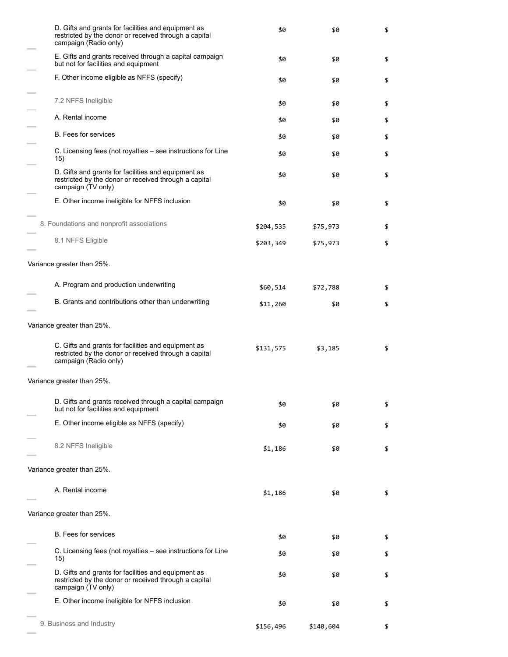| D. Gifts and grants for facilities and equipment as<br>restricted by the donor or received through a capital<br>campaign (Radio only) | \$0       | \$0       | \$ |
|---------------------------------------------------------------------------------------------------------------------------------------|-----------|-----------|----|
| E. Gifts and grants received through a capital campaign<br>but not for facilities and equipment                                       | \$0       | \$0       | \$ |
| F. Other income eligible as NFFS (specify)                                                                                            | \$0       | \$0       | \$ |
| 7.2 NFFS Ineligible                                                                                                                   | \$0       | \$0       | \$ |
| A. Rental income                                                                                                                      | \$0       | \$0       | \$ |
| <b>B.</b> Fees for services                                                                                                           | \$0       | \$0       | \$ |
| C. Licensing fees (not royalties – see instructions for Line<br>15)                                                                   | \$0       | \$0       | \$ |
| D. Gifts and grants for facilities and equipment as<br>restricted by the donor or received through a capital<br>campaign (TV only)    | \$0       | \$0       | \$ |
| E. Other income ineligible for NFFS inclusion                                                                                         | \$0       | \$0       | \$ |
| 8. Foundations and nonprofit associations                                                                                             | \$204,535 | \$75,973  | \$ |
| 8.1 NFFS Eligible                                                                                                                     | \$203,349 | \$75,973  | \$ |
| Variance greater than 25%.                                                                                                            |           |           |    |
| A. Program and production underwriting                                                                                                | \$60,514  | \$72,788  | \$ |
| B. Grants and contributions other than underwriting                                                                                   | \$11,260  | \$0       | \$ |
| Variance greater than 25%.                                                                                                            |           |           |    |
| C. Gifts and grants for facilities and equipment as<br>restricted by the donor or received through a capital<br>campaign (Radio only) | \$131,575 | \$3,185   | \$ |
| Variance greater than 25%.                                                                                                            |           |           |    |
| D. Gifts and grants received through a capital campaign<br>but not for facilities and equipment                                       | \$0       | \$0       | \$ |
| E. Other income eligible as NFFS (specify)                                                                                            | \$0       | \$0       | \$ |
| 8.2 NFFS Ineligible                                                                                                                   | \$1,186   | \$0       | \$ |
| Variance greater than 25%.                                                                                                            |           |           |    |
| A. Rental income                                                                                                                      | \$1,186   | \$0       | \$ |
| Variance greater than 25%.                                                                                                            |           |           |    |
| <b>B.</b> Fees for services                                                                                                           | \$0       | \$0       | \$ |
| C. Licensing fees (not royalties – see instructions for Line<br>15)                                                                   | \$0       | \$0       | \$ |
| D. Gifts and grants for facilities and equipment as<br>restricted by the donor or received through a capital<br>campaign (TV only)    | \$0       | \$0       | \$ |
| E. Other income ineligible for NFFS inclusion                                                                                         | \$0       | \$0       | \$ |
| 9. Business and Industry                                                                                                              | \$156,496 | \$140,604 | \$ |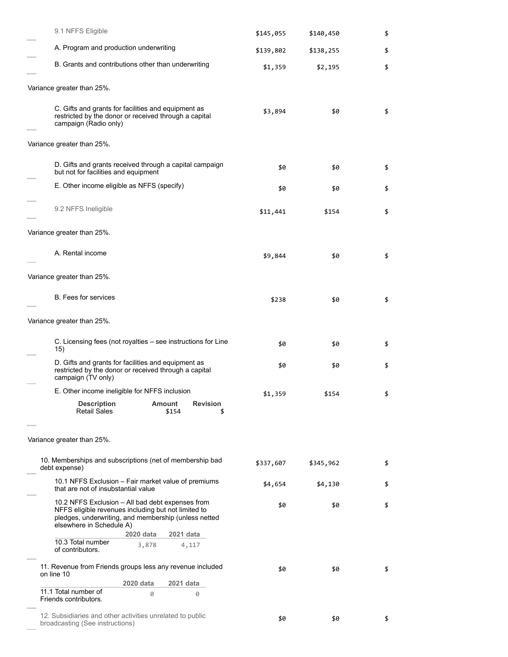| 9.1 NFFS Eligible                                                                                                                                                                           |                                                 | \$145,055 | \$140,450 | \$ |
|---------------------------------------------------------------------------------------------------------------------------------------------------------------------------------------------|-------------------------------------------------|-----------|-----------|----|
| A. Program and production underwriting                                                                                                                                                      |                                                 | \$139,802 | \$138,255 | \$ |
| B. Grants and contributions other than underwriting                                                                                                                                         |                                                 | \$1,359   | \$2,195   | \$ |
| Variance greater than 25%.                                                                                                                                                                  |                                                 |           |           |    |
| C. Gifts and grants for facilities and equipment as<br>restricted by the donor or received through a capital<br>campaign (Radio only)                                                       |                                                 | \$3,894   | \$0       | \$ |
| Variance greater than 25%.                                                                                                                                                                  |                                                 |           |           |    |
| D. Gifts and grants received through a capital campaign<br>but not for facilities and equipment                                                                                             |                                                 | \$0       | \$0       | \$ |
| E. Other income eligible as NFFS (specify)                                                                                                                                                  |                                                 | \$0       | \$0       | \$ |
| 9.2 NFFS Ineligible                                                                                                                                                                         |                                                 | \$11,441  | \$154     | \$ |
| Variance greater than 25%.                                                                                                                                                                  |                                                 |           |           |    |
| A. Rental income                                                                                                                                                                            |                                                 | \$9,844   | \$0       | \$ |
| Variance greater than 25%.                                                                                                                                                                  |                                                 |           |           |    |
| <b>B.</b> Fees for services                                                                                                                                                                 |                                                 | \$238     | \$0       | \$ |
| Variance greater than 25%.                                                                                                                                                                  |                                                 |           |           |    |
| C. Licensing fees (not royalties – see instructions for Line<br>15)                                                                                                                         |                                                 | \$0       | \$0       | \$ |
| D. Gifts and grants for facilities and equipment as<br>restricted by the donor or received through a capital<br>campaign (TV only)                                                          |                                                 | \$0       | \$0       | \$ |
| E. Other income ineligible for NFFS inclusion                                                                                                                                               |                                                 | \$1,359   | \$154     | \$ |
| <b>Description</b><br><b>Retail Sales</b>                                                                                                                                                   | <b>Amount</b><br><b>Revision</b><br>\$154<br>\$ |           |           |    |
| Variance greater than 25%.                                                                                                                                                                  |                                                 |           |           |    |
| 10. Memberships and subscriptions (net of membership bad<br>debt expense)                                                                                                                   |                                                 | \$337,607 | \$345,962 | \$ |
| 10.1 NFFS Exclusion – Fair market value of premiums<br>that are not of insubstantial value                                                                                                  |                                                 | \$4,654   | \$4,130   | \$ |
| 10.2 NFFS Exclusion – All bad debt expenses from<br>NFFS eligible revenues including but not limited to<br>pledges, underwriting, and membership (unless netted<br>elsewhere in Schedule A) |                                                 | \$0       | \$0       | \$ |
| 2020 data<br>10.3 Total number<br>3,878<br>of contributors.                                                                                                                                 | 2021 data<br>4,117                              |           |           |    |
| 11. Revenue from Friends groups less any revenue included<br>on line 10                                                                                                                     |                                                 | \$0       | \$0       | \$ |
| 2020 data                                                                                                                                                                                   | 2021 data                                       |           |           |    |
| 11.1 Total number of<br>0<br>Friends contributors.                                                                                                                                          | 0                                               |           |           |    |
| 12. Subsidiaries and other activities unrelated to public<br>broadcasting (See instructions)                                                                                                |                                                 | \$0       | \$0       | \$ |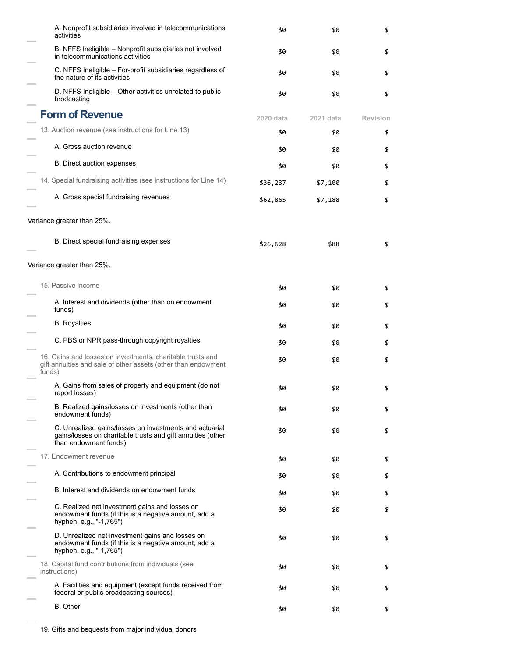| A. Nonprofit subsidiaries involved in telecommunications<br>activities                                                                          | \$0       | \$0       | \$              |
|-------------------------------------------------------------------------------------------------------------------------------------------------|-----------|-----------|-----------------|
| B. NFFS Ineligible – Nonprofit subsidiaries not involved<br>in telecommunications activities                                                    | \$0       | \$0       | \$              |
| C. NFFS Ineligible - For-profit subsidiaries regardless of<br>the nature of its activities                                                      | \$0       | \$0       | \$              |
| D. NFFS Ineligible - Other activities unrelated to public<br>brodcasting                                                                        | \$0       | \$0       | \$              |
| <b>Form of Revenue</b>                                                                                                                          | 2020 data | 2021 data | <b>Revision</b> |
| 13. Auction revenue (see instructions for Line 13)                                                                                              | \$0       | \$0       | \$              |
| A. Gross auction revenue                                                                                                                        | \$0       | \$0       | \$              |
| <b>B.</b> Direct auction expenses                                                                                                               | \$0       | \$0       | \$              |
| 14. Special fundraising activities (see instructions for Line 14)                                                                               | \$36,237  | \$7,100   | \$              |
| A. Gross special fundraising revenues                                                                                                           | \$62,865  | \$7,188   | \$              |
| Variance greater than 25%.                                                                                                                      |           |           |                 |
| B. Direct special fundraising expenses                                                                                                          | \$26,628  | \$88      | \$              |
| Variance greater than 25%.                                                                                                                      |           |           |                 |
| 15. Passive income                                                                                                                              | \$0       | \$0       | \$              |
| A. Interest and dividends (other than on endowment<br>funds)                                                                                    | \$0       | \$0       | \$              |
| <b>B.</b> Royalties                                                                                                                             | \$0       | \$0       | \$              |
| C. PBS or NPR pass-through copyright royalties                                                                                                  | \$0       | \$0       | \$              |
| 16. Gains and losses on investments, charitable trusts and<br>gift annuities and sale of other assets (other than endowment<br>funds)           | \$0       | \$0       | \$              |
| A. Gains from sales of property and equipment (do not<br>report losses)                                                                         | \$0       | \$0       | \$              |
| B. Realized gains/losses on investments (other than<br>endowment funds)                                                                         | \$0       | \$0       | \$              |
| C. Unrealized gains/losses on investments and actuarial<br>gains/losses on charitable trusts and gift annuities (other<br>than endowment funds) | \$0       | \$0       | \$              |
| 17. Endowment revenue                                                                                                                           | \$0       | \$0       | \$              |
| A. Contributions to endowment principal                                                                                                         | \$0       | \$0       | \$              |
| B. Interest and dividends on endowment funds                                                                                                    | \$0       | \$0       | \$              |
| C. Realized net investment gains and losses on<br>endowment funds (if this is a negative amount, add a<br>hyphen, e.g., "-1,765")               | \$0       | \$0       | \$              |
| D. Unrealized net investment gains and losses on<br>endowment funds (if this is a negative amount, add a<br>hyphen, e.g., "-1,765")             | \$0       | \$0       | \$              |
| 18. Capital fund contributions from individuals (see<br>instructions)                                                                           | \$0       | \$0       | \$              |
| A. Facilities and equipment (except funds received from<br>federal or public broadcasting sources)                                              | \$0       | \$0       | \$              |
| <b>B.</b> Other                                                                                                                                 | \$0       | \$0       | \$              |

Ē.

÷

j.

L.

i.

i.

i.

÷

Ē,

j.

i.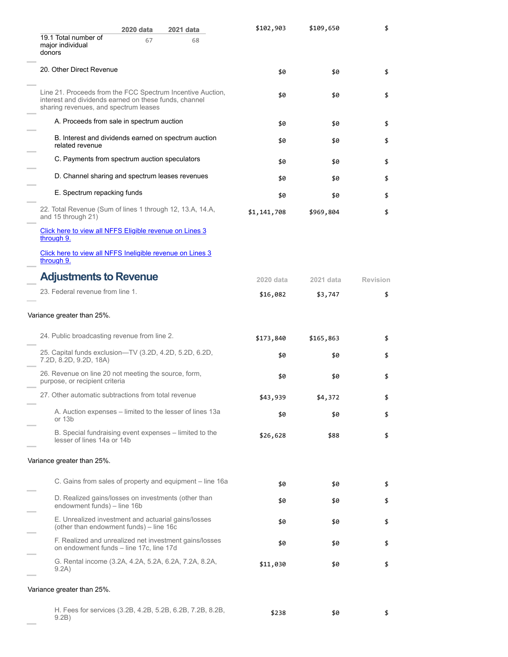|                                                                                                                                                              | 2020 data | 2021 data                                                 | \$102,903   | \$109,650 | \$              |
|--------------------------------------------------------------------------------------------------------------------------------------------------------------|-----------|-----------------------------------------------------------|-------------|-----------|-----------------|
| 19.1 Total number of<br>major individual<br>donors                                                                                                           | 67        | 68                                                        |             |           |                 |
| 20. Other Direct Revenue                                                                                                                                     |           |                                                           | \$0         | \$0       | \$              |
| Line 21. Proceeds from the FCC Spectrum Incentive Auction,<br>interest and dividends earned on these funds, channel<br>sharing revenues, and spectrum leases |           |                                                           | \$0         | \$0       | \$              |
| A. Proceeds from sale in spectrum auction                                                                                                                    |           |                                                           | \$0         | \$0       | \$              |
| B. Interest and dividends earned on spectrum auction<br>related revenue                                                                                      |           |                                                           | \$0         | \$0       | \$              |
| C. Payments from spectrum auction speculators                                                                                                                |           |                                                           | \$0         | \$0       | \$              |
| D. Channel sharing and spectrum leases revenues                                                                                                              |           |                                                           | \$0         | \$0       | \$              |
| E. Spectrum repacking funds                                                                                                                                  |           |                                                           | \$0         | \$0       | \$              |
| 22. Total Revenue (Sum of lines 1 through 12, 13.A, 14.A,<br>and 15 through 21)                                                                              |           |                                                           | \$1,141,708 | \$969,804 | \$              |
| Click here to view all NFFS Eligible revenue on Lines 3<br>through 9.                                                                                        |           |                                                           |             |           |                 |
| Click here to view all NFFS Ineligible revenue on Lines 3<br>through 9.                                                                                      |           |                                                           |             |           |                 |
| <b>Adjustments to Revenue</b>                                                                                                                                |           |                                                           | 2020 data   | 2021 data | <b>Revision</b> |
| 23. Federal revenue from line 1.                                                                                                                             |           |                                                           | \$16,082    | \$3,747   | \$              |
| Variance greater than 25%.                                                                                                                                   |           |                                                           |             |           |                 |
| 24. Public broadcasting revenue from line 2.                                                                                                                 |           |                                                           | \$173,840   | \$165,863 | \$              |
| 25. Capital funds exclusion-TV (3.2D, 4.2D, 5.2D, 6.2D,<br>7.2D, 8.2D, 9.2D, 18A)                                                                            |           |                                                           | \$0         | \$0       | \$              |
| 26. Revenue on line 20 not meeting the source, form,<br>purpose, or recipient criteria                                                                       |           |                                                           | \$0         | \$0       | \$              |
| 27. Other automatic subtractions from total revenue                                                                                                          |           |                                                           | \$43,939    | \$4,372   | \$              |
| or 13b                                                                                                                                                       |           | A. Auction expenses – limited to the lesser of lines 13a  | \$0         | \$0       | \$              |
| B. Special fundraising event expenses – limited to the<br>lesser of lines 14a or 14b                                                                         |           |                                                           | \$26,628    | \$88      | \$              |
| Variance greater than 25%.                                                                                                                                   |           |                                                           |             |           |                 |
|                                                                                                                                                              |           | C. Gains from sales of property and equipment – line 16a  | \$0         | \$0       | \$              |
| D. Realized gains/losses on investments (other than<br>endowment funds) - line 16b                                                                           |           |                                                           | \$0         | \$0       | \$              |
| E. Unrealized investment and actuarial gains/losses<br>(other than endowment funds) – line 16c                                                               |           |                                                           | \$0         | \$0       | \$              |
| on endowment funds - line 17c, line 17d                                                                                                                      |           | F. Realized and unrealized net investment gains/losses    | \$0         | \$0       | \$              |
| G. Rental income (3.2A, 4.2A, 5.2A, 6.2A, 7.2A, 8.2A,<br>9.2A)                                                                                               |           |                                                           | \$11,030    | \$0       | \$              |
| Variance greater than 25%.                                                                                                                                   |           |                                                           |             |           |                 |
| 9.2B)                                                                                                                                                        |           | H. Fees for services (3.2B, 4.2B, 5.2B, 6.2B, 7.2B, 8.2B, | \$238       | \$0       | \$              |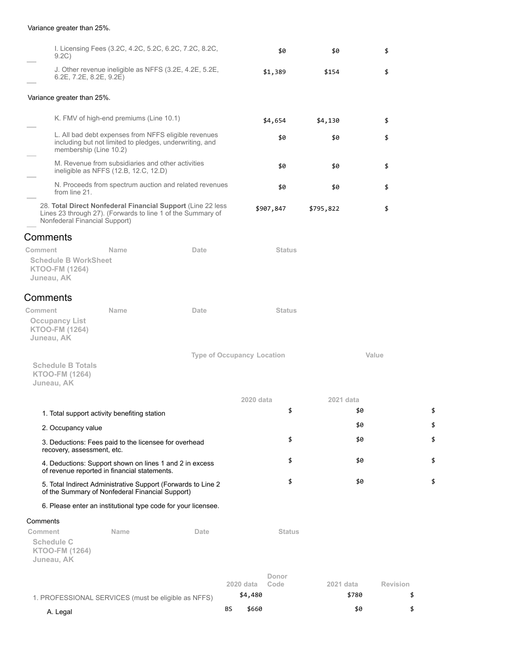### Variance greater than 25%.

| 9.2C)                                                                                                   |                                                                                            | I. Licensing Fees (3.2C, 4.2C, 5.2C, 6.2C, 7.2C, 8.2C,                                                                     |           | \$0           | \$0       | \$              |    |
|---------------------------------------------------------------------------------------------------------|--------------------------------------------------------------------------------------------|----------------------------------------------------------------------------------------------------------------------------|-----------|---------------|-----------|-----------------|----|
| 6.2E, 7.2E, 8.2E, 9.2E)                                                                                 |                                                                                            | J. Other revenue ineligible as NFFS (3.2E, 4.2E, 5.2E,                                                                     |           | \$1,389       | \$154     | \$              |    |
| Variance greater than 25%.                                                                              |                                                                                            |                                                                                                                            |           |               |           |                 |    |
|                                                                                                         | K. FMV of high-end premiums (Line 10.1)                                                    |                                                                                                                            |           | \$4,654       | \$4,130   | \$              |    |
| membership (Line 10.2)                                                                                  |                                                                                            | L. All bad debt expenses from NFFS eligible revenues<br>including but not limited to pledges, underwriting, and            |           | \$0           | \$0       | \$              |    |
|                                                                                                         | M. Revenue from subsidiaries and other activities<br>ineligible as NFFS (12.B, 12.C, 12.D) |                                                                                                                            |           | \$0           | \$0       | \$              |    |
| from line 21.                                                                                           |                                                                                            | N. Proceeds from spectrum auction and related revenues                                                                     |           | \$0           | \$0       | \$              |    |
| Nonfederal Financial Support)                                                                           |                                                                                            | 28. Total Direct Nonfederal Financial Support (Line 22 less<br>Lines 23 through 27). (Forwards to line 1 of the Summary of |           | \$907,847     | \$795,822 | \$              |    |
| Comments                                                                                                |                                                                                            |                                                                                                                            |           |               |           |                 |    |
| Comment<br><b>Schedule B WorkSheet</b><br><b>KTOO-FM (1264)</b><br>Juneau, AK                           | <b>Name</b>                                                                                | Date                                                                                                                       |           | <b>Status</b> |           |                 |    |
| Comments                                                                                                |                                                                                            |                                                                                                                            |           |               |           |                 |    |
| Comment<br><b>Occupancy List</b><br><b>KTOO-FM (1264)</b><br>Juneau, AK                                 | <b>Name</b>                                                                                | Date                                                                                                                       |           | <b>Status</b> |           |                 |    |
| <b>Schedule B Totals</b><br><b>KTOO-FM (1264)</b><br>Juneau, AK                                         |                                                                                            | <b>Type of Occupancy Location</b>                                                                                          |           |               |           | Value           |    |
|                                                                                                         |                                                                                            |                                                                                                                            | 2020 data |               | 2021 data |                 |    |
| 1. Total support activity benefiting station                                                            |                                                                                            |                                                                                                                            |           | \$            |           | \$0             | \$ |
| 2. Occupancy value                                                                                      |                                                                                            |                                                                                                                            |           |               |           | \$0             | \$ |
| 3. Deductions: Fees paid to the licensee for overhead<br>recovery, assessment, etc.                     |                                                                                            |                                                                                                                            |           | \$            |           | \$0             | \$ |
| 4. Deductions: Support shown on lines 1 and 2 in excess<br>of revenue reported in financial statements. |                                                                                            |                                                                                                                            |           | \$            |           | \$0             | \$ |
| of the Summary of Nonfederal Financial Support)                                                         |                                                                                            | 5. Total Indirect Administrative Support (Forwards to Line 2                                                               |           | \$            |           | \$0             | \$ |
|                                                                                                         |                                                                                            | 6. Please enter an institutional type code for your licensee.                                                              |           |               |           |                 |    |
| Comments                                                                                                |                                                                                            |                                                                                                                            |           |               |           |                 |    |
| Comment<br><b>Schedule C</b><br><b>KTOO-FM (1264)</b><br>Juneau, AK                                     | <b>Name</b>                                                                                | Date                                                                                                                       |           | <b>Status</b> |           |                 |    |
|                                                                                                         |                                                                                            |                                                                                                                            |           | Donor         |           |                 |    |
|                                                                                                         |                                                                                            |                                                                                                                            | 2020 data | Code          | 2021 data | <b>Revision</b> |    |
| 1. PROFESSIONAL SERVICES (must be eligible as NFFS)                                                     |                                                                                            |                                                                                                                            | \$4,480   |               | \$780     |                 | \$ |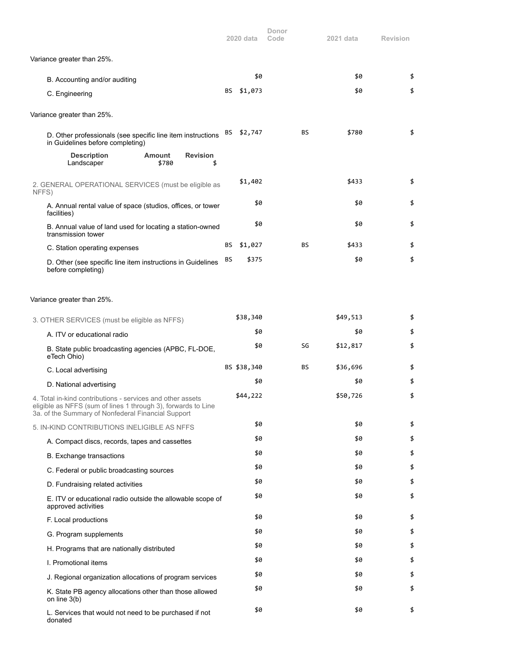|                                                                                                                                                                                   |    | 2020 data   | Donor<br>Code | 2021 data | Revision |
|-----------------------------------------------------------------------------------------------------------------------------------------------------------------------------------|----|-------------|---------------|-----------|----------|
| Variance greater than 25%.                                                                                                                                                        |    |             |               |           |          |
| B. Accounting and/or auditing                                                                                                                                                     |    | \$0         |               | \$0       | \$       |
| C. Engineering                                                                                                                                                                    | BS | \$1,073     |               | \$0       | \$       |
| Variance greater than 25%.                                                                                                                                                        |    |             |               |           |          |
| D. Other professionals (see specific line item instructions<br>in Guidelines before completing)                                                                                   | BS | \$2,747     | BS            | \$780     | \$       |
| <b>Description</b><br><b>Revision</b><br><b>Amount</b><br>\$780<br>Landscaper<br>\$                                                                                               |    |             |               |           |          |
| 2. GENERAL OPERATIONAL SERVICES (must be eligible as<br>NFFS)                                                                                                                     |    | \$1,402     |               | \$433     | \$       |
| A. Annual rental value of space (studios, offices, or tower<br>facilities)                                                                                                        |    | \$0         |               | \$0       | \$       |
| B. Annual value of land used for locating a station-owned<br>transmission tower                                                                                                   |    | \$0         |               | \$0       | \$       |
| C. Station operating expenses                                                                                                                                                     | BS | \$1,027     | <b>BS</b>     | \$433     | \$       |
| D. Other (see specific line item instructions in Guidelines<br>before completing)                                                                                                 | ΒS | \$375       |               | \$0       | \$       |
| Variance greater than 25%.                                                                                                                                                        |    |             |               |           |          |
| 3. OTHER SERVICES (must be eligible as NFFS)                                                                                                                                      |    | \$38,340    |               | \$49,513  | \$       |
| A. ITV or educational radio                                                                                                                                                       |    | \$0         |               | \$0       | \$       |
| B. State public broadcasting agencies (APBC, FL-DOE,<br>eTech Ohio)                                                                                                               |    | \$0         | SG            | \$12,817  | \$       |
| C. Local advertising                                                                                                                                                              |    | BS \$38,340 | <b>BS</b>     | \$36,696  | \$       |
| D. National advertising                                                                                                                                                           |    | \$0         |               | \$0       | \$       |
| 4. Total in-kind contributions - services and other assets<br>eligible as NFFS (sum of lines 1 through 3), forwards to Line<br>3a. of the Summary of Nonfederal Financial Support |    | \$44,222    |               | \$50,726  | \$       |
| 5. IN-KIND CONTRIBUTIONS INELIGIBLE AS NFFS                                                                                                                                       |    | \$0         |               | \$0       | \$       |
| A. Compact discs, records, tapes and cassettes                                                                                                                                    |    | \$0         |               | \$0       | \$       |
| B. Exchange transactions                                                                                                                                                          |    | \$0         |               | \$0       | \$       |
| C. Federal or public broadcasting sources                                                                                                                                         |    | \$0         |               | \$0       | \$       |
| D. Fundraising related activities                                                                                                                                                 |    | \$0         |               | \$0       | \$       |
| E. ITV or educational radio outside the allowable scope of<br>approved activities                                                                                                 |    | \$0         |               | \$0       | \$       |
| F. Local productions                                                                                                                                                              |    | \$0         |               | \$0       | \$       |
| G. Program supplements                                                                                                                                                            |    | \$0         |               | \$0       | \$       |
| H. Programs that are nationally distributed                                                                                                                                       |    | \$0         |               | \$0       | \$       |
| I. Promotional items                                                                                                                                                              |    | \$0         |               | \$0       | \$       |
| J. Regional organization allocations of program services                                                                                                                          |    | \$0         |               | \$0       | \$       |
| K. State PB agency allocations other than those allowed<br>on line 3(b)                                                                                                           |    | \$0         |               | \$0       | \$       |
| L. Services that would not need to be purchased if not<br>donated                                                                                                                 |    | \$0         |               | \$0       | \$       |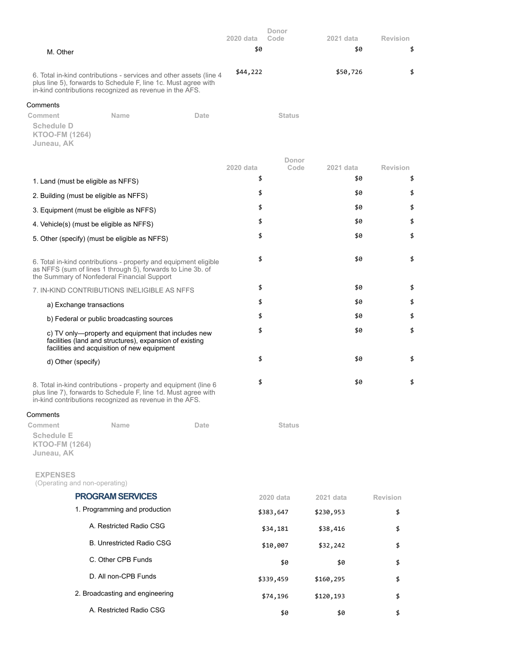|                                                                                                                                                                                                 | 2020 data | Donor<br>Code | 2021 data | <b>Revision</b> |
|-------------------------------------------------------------------------------------------------------------------------------------------------------------------------------------------------|-----------|---------------|-----------|-----------------|
| M. Other                                                                                                                                                                                        | \$0       |               | \$0       | \$              |
|                                                                                                                                                                                                 |           |               |           |                 |
| 6. Total in-kind contributions - services and other assets (line 4<br>plus line 5), forwards to Schedule F, line 1c. Must agree with<br>in-kind contributions recognized as revenue in the AFS. | \$44,222  |               | \$50,726  | \$              |
| Comments                                                                                                                                                                                        |           |               |           |                 |
| Comment<br>Name<br>Date<br>Schedule D<br><b>KTOO-FM (1264)</b><br>Juneau, AK                                                                                                                    |           | <b>Status</b> |           |                 |
|                                                                                                                                                                                                 | 2020 data | Donor<br>Code | 2021 data | <b>Revision</b> |
| 1. Land (must be eligible as NFFS)                                                                                                                                                              | \$        |               | \$0       | \$              |
| 2. Building (must be eligible as NFFS)                                                                                                                                                          | \$        |               | \$0       | \$              |
| 3. Equipment (must be eligible as NFFS)                                                                                                                                                         | \$        |               | \$0       | \$              |
|                                                                                                                                                                                                 | \$        |               | \$0       | \$              |
| 4. Vehicle(s) (must be eligible as NFFS)                                                                                                                                                        | \$        |               | \$0       | \$              |
| 5. Other (specify) (must be eligible as NFFS)                                                                                                                                                   |           |               |           |                 |
| 6. Total in-kind contributions - property and equipment eligible<br>as NFFS (sum of lines 1 through 5), forwards to Line 3b. of<br>the Summary of Nonfederal Financial Support                  | \$        |               | \$0       | \$              |
| 7. IN-KIND CONTRIBUTIONS INELIGIBLE AS NFFS                                                                                                                                                     | \$        |               | \$0       | \$              |
| a) Exchange transactions                                                                                                                                                                        | \$        |               | \$0       | \$              |
| b) Federal or public broadcasting sources                                                                                                                                                       | \$        |               | \$0       | \$              |
| c) TV only-property and equipment that includes new<br>facilities (land and structures), expansion of existing<br>facilities and acquisition of new equipment                                   | \$        |               | \$0       | \$              |
| d) Other (specify)                                                                                                                                                                              | \$        |               | \$0       | \$              |
|                                                                                                                                                                                                 |           |               |           |                 |
| 8. Total in-kind contributions - property and equipment (line 6<br>plus line 7), forwards to Schedule F, line 1d. Must agree with<br>in-kind contributions recognized as revenue in the AFS.    | \$        |               | \$0       | \$              |
| Comments                                                                                                                                                                                        |           |               |           |                 |
| Comment<br>Name<br>Date                                                                                                                                                                         |           | <b>Status</b> |           |                 |
| <b>Schedule E</b><br><b>KTOO-FM (1264)</b><br>Juneau, AK                                                                                                                                        |           |               |           |                 |
| <b>EXPENSES</b><br>(Operating and non-operating)                                                                                                                                                |           |               |           |                 |
| <b>PROGRAM SERVICES</b>                                                                                                                                                                         |           | 2020 data     | 2021 data | <b>Revision</b> |
| 1. Programming and production                                                                                                                                                                   |           | \$383,647     | \$230,953 | \$              |
| A. Restricted Radio CSG                                                                                                                                                                         |           | \$34,181      | \$38,416  | \$              |
| <b>B. Unrestricted Radio CSG</b>                                                                                                                                                                |           | \$10,007      | \$32,242  | \$              |
| C. Other CPB Funds                                                                                                                                                                              |           | \$0           | \$0       | \$              |
| D. All non-CPB Funds                                                                                                                                                                            |           | \$339,459     | \$160,295 | \$              |
| 2. Broadcasting and engineering                                                                                                                                                                 |           | \$74,196      | \$120,193 | \$              |
| A. Restricted Radio CSG                                                                                                                                                                         |           | \$0           | \$0       | \$              |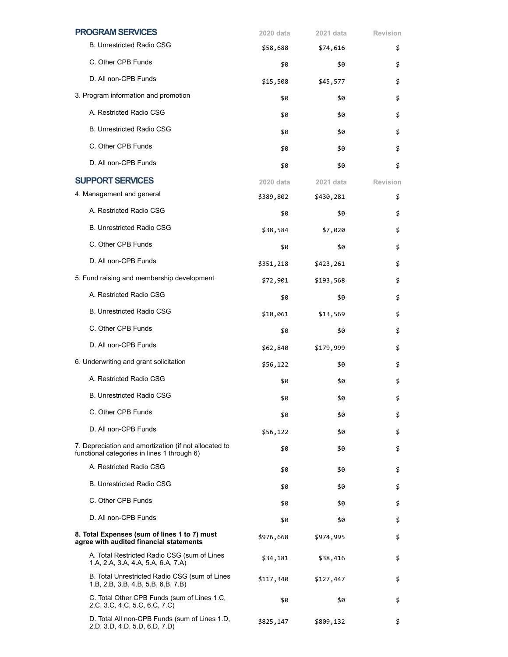| <b>PROGRAM SERVICES</b>                                                                              | 2020 data | 2021 data | <b>Revision</b> |
|------------------------------------------------------------------------------------------------------|-----------|-----------|-----------------|
| <b>B. Unrestricted Radio CSG</b>                                                                     | \$58,688  | \$74,616  | \$              |
| C. Other CPB Funds                                                                                   | \$0       | \$0       | \$              |
| D. All non-CPB Funds                                                                                 | \$15,508  | \$45,577  | \$              |
| 3. Program information and promotion                                                                 | \$0       | \$0       | \$              |
| A. Restricted Radio CSG                                                                              | \$0       | \$0       | \$              |
| <b>B. Unrestricted Radio CSG</b>                                                                     | \$0       | \$0       | \$              |
| C. Other CPB Funds                                                                                   | \$0       | \$0       | \$              |
| D. All non-CPB Funds                                                                                 | \$0       | \$0       | \$              |
| <b>SUPPORT SERVICES</b>                                                                              | 2020 data | 2021 data | <b>Revision</b> |
| 4. Management and general                                                                            | \$389,802 | \$430,281 | \$              |
| A. Restricted Radio CSG                                                                              | \$0       | \$0       | \$              |
| <b>B. Unrestricted Radio CSG</b>                                                                     | \$38,584  | \$7,020   | \$              |
| C. Other CPB Funds                                                                                   | \$0       | \$0       | \$              |
| D. All non-CPB Funds                                                                                 | \$351,218 | \$423,261 | \$              |
| 5. Fund raising and membership development                                                           | \$72,901  | \$193,568 | \$              |
| A. Restricted Radio CSG                                                                              | \$0       | \$0       | \$              |
| <b>B. Unrestricted Radio CSG</b>                                                                     | \$10,061  | \$13,569  | \$              |
| C. Other CPB Funds                                                                                   | \$0       | \$0       | \$              |
| D. All non-CPB Funds                                                                                 | \$62,840  | \$179,999 | \$              |
| 6. Underwriting and grant solicitation                                                               | \$56,122  | \$0       | \$              |
| A. Restricted Radio CSG                                                                              | \$0       | \$0       | \$              |
| <b>B. Unrestricted Radio CSG</b>                                                                     | \$0       | \$0       | \$              |
| C. Other CPB Funds                                                                                   | \$0       | \$0       | \$              |
| D. All non-CPB Funds                                                                                 | \$56,122  | \$0       | \$              |
| 7. Depreciation and amortization (if not allocated to<br>functional categories in lines 1 through 6) | \$0       | \$0       | \$              |
| A. Restricted Radio CSG                                                                              | \$0       | \$0       | \$              |
| <b>B. Unrestricted Radio CSG</b>                                                                     | \$0       | \$0       | \$              |
| C. Other CPB Funds                                                                                   | \$0       | \$0       | \$              |
| D. All non-CPB Funds                                                                                 | \$0       | \$0       | \$              |
| 8. Total Expenses (sum of lines 1 to 7) must<br>agree with audited financial statements              | \$976,668 | \$974,995 | \$              |
| A. Total Restricted Radio CSG (sum of Lines<br>1.A, 2.A, 3.A, 4.A, 5.A, 6.A, 7.A)                    | \$34,181  | \$38,416  | \$              |
| B. Total Unrestricted Radio CSG (sum of Lines<br>1.B, 2.B, 3.B, 4.B, 5.B, 6.B, 7.B)                  | \$117,340 | \$127,447 | \$              |
| C. Total Other CPB Funds (sum of Lines 1.C,<br>2.C, 3.C, 4.C, 5.C, 6.C, 7.C)                         | \$0       | \$0       | \$              |
| D. Total All non-CPB Funds (sum of Lines 1.D,<br>2.D, 3.D, 4.D, 5.D, 6.D, 7.D)                       | \$825,147 | \$809,132 | \$              |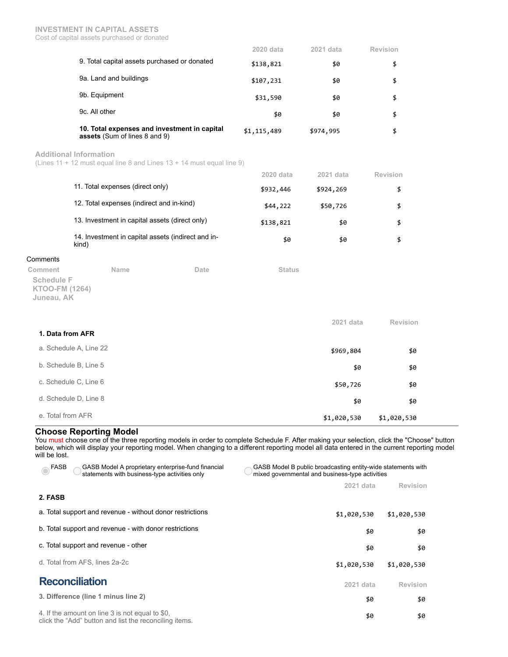|                                                                                      | 2020 data   | 2021 data | Revision |
|--------------------------------------------------------------------------------------|-------------|-----------|----------|
| 9. Total capital assets purchased or donated                                         | \$138,821   | \$0       | \$       |
| 9a. Land and buildings                                                               | \$107,231   | \$0       | \$       |
| 9b. Equipment                                                                        | \$31,590    | \$0       | \$       |
| 9c. All other                                                                        | \$0         | \$0       | \$       |
| 10. Total expenses and investment in capital<br><b>assets</b> (Sum of lines 8 and 9) | \$1,115,489 | \$974,995 | \$       |

**Additional Information**

(Lines 11 + 12 must equal line 8 and Lines 13 + 14 must equal line 9)

|                                                             | 2020 data | 2021 data | Revision |
|-------------------------------------------------------------|-----------|-----------|----------|
| 11. Total expenses (direct only)                            | \$932,446 | \$924,269 |          |
| 12. Total expenses (indirect and in-kind)                   | \$44,222  | \$50,726  |          |
| 13. Investment in capital assets (direct only)              | \$138,821 | \$0       | Я        |
| 14. Investment in capital assets (indirect and in-<br>kind) | \$0       | \$0       |          |

### **Comments**

**Comment Name Date Status Schedule F KTOO-FM (1264) Juneau, AK**

|                        | 2021 data   | Revision    |
|------------------------|-------------|-------------|
| 1. Data from AFR       |             |             |
| a. Schedule A, Line 22 | \$969,804   | \$0         |
| b. Schedule B, Line 5  | \$0         | \$0         |
| c. Schedule C, Line 6  | \$50,726    | \$0         |
| d. Schedule D, Line 8  | \$0         | \$0         |
| e. Total from AFR      | \$1,020,530 | \$1,020,530 |

# **Choose Reporting Model**

You must choose one of the three reporting models in order to complete Schedule F. After making your selection, click the "Choose" button below, which will display your reporting model. When changing to a different reporting model all data entered in the current reporting model will be lost.

| GASB Model A proprietary enterprise-fund financial<br>FASB<br>statements with business-type activities only | GASB Model B public broadcasting entity-wide statements with<br>mixed governmental and business-type activities |                 |  |
|-------------------------------------------------------------------------------------------------------------|-----------------------------------------------------------------------------------------------------------------|-----------------|--|
|                                                                                                             | 2021 data                                                                                                       | <b>Revision</b> |  |
| 2. FASB                                                                                                     |                                                                                                                 |                 |  |
| a. Total support and revenue - without donor restrictions                                                   | \$1,020,530                                                                                                     | \$1,020,530     |  |
| b. Total support and revenue - with donor restrictions                                                      | \$0                                                                                                             | \$0             |  |
| c. Total support and revenue - other                                                                        | \$0                                                                                                             | \$0             |  |
| d. Total from AFS, lines 2a-2c                                                                              | \$1,020,530                                                                                                     | \$1,020,530     |  |
| <b>Reconciliation</b>                                                                                       | 2021 data                                                                                                       | <b>Revision</b> |  |
| 3. Difference (line 1 minus line 2)                                                                         | \$0                                                                                                             | \$0             |  |
| 4. If the amount on line 3 is not equal to \$0,<br>click the "Add" button and list the reconciling items.   | \$0                                                                                                             | \$0             |  |